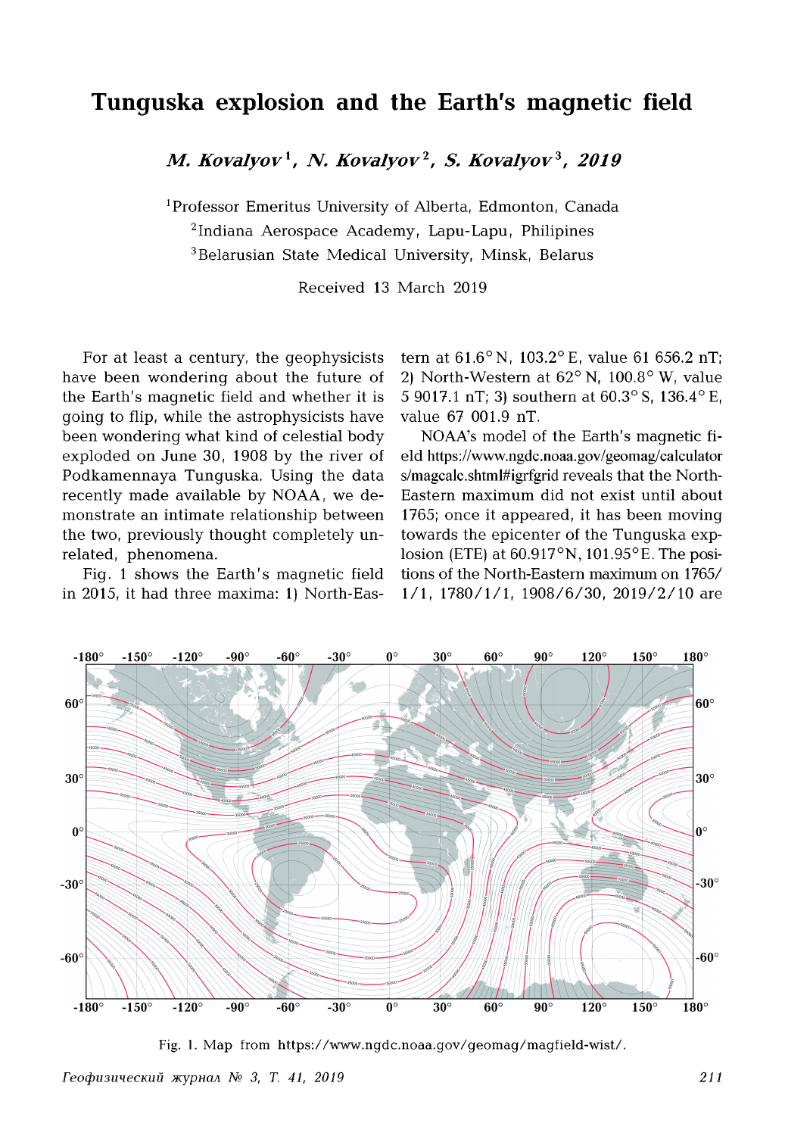## **Tunguska explosion and the Earth's magnetic field**

*M. Kovalyov***1,** *N. Kovalyov***2,** *S. Kovalyov***3,** *2019*

1Professor Emeritus University of Alberta, Edmonton, Canada 2Indiana Aerospace Academy, Lapu-Lapu, Philipines 3Belarusian State Medical University, Minsk, Belarus

Received 13 March 2019

For at least a century, the geophysicists have been wondering about the future of the Earth's magnetic field and whether it is going to flip, while the astrophysicists have been wondering what kind of celestial body exploded on June 30, 1908 by the river of Podkamennaya Tunguska. Using the data recently made available by NOAA, we demonstrate an intimate relationship between the two, previously thought completely unrelated, phenomena.

Fig. 1 shows the Earth's magnetic field in 2015, it had three maxima: 1) North-Eastern at  $61.6^{\circ}$  N,  $103.2^{\circ}$  E, value 61 656.2 nT; 2) North-Western at  $62^{\circ}$  N,  $100.8^{\circ}$  W, value 5 9017.1 nT; 3) southern at 60.3° S, 136.4° E, value 67 001.9 nT.

NOAA's model of the Earth's magnetic field<https://www.ngdc.noaa.gov/geomag/calculator> s/magcalc.shtml#igrfgrid reveals that the North-Eastern maximum did not exist until about 1765; once it appeared, it has been moving towards the epicenter of the Tunguska explosion (ETE) at  $60.917^{\circ}$ N,  $101.95^{\circ}$ E. The positions of the North-Eastern maximum on 1765/ 1/1, 1780/1/1, 1908/6/30, 2019/2/10 are



Fig. 1. Map from https://www.ngdc.noaa.gov/geomag/magfield-wist/.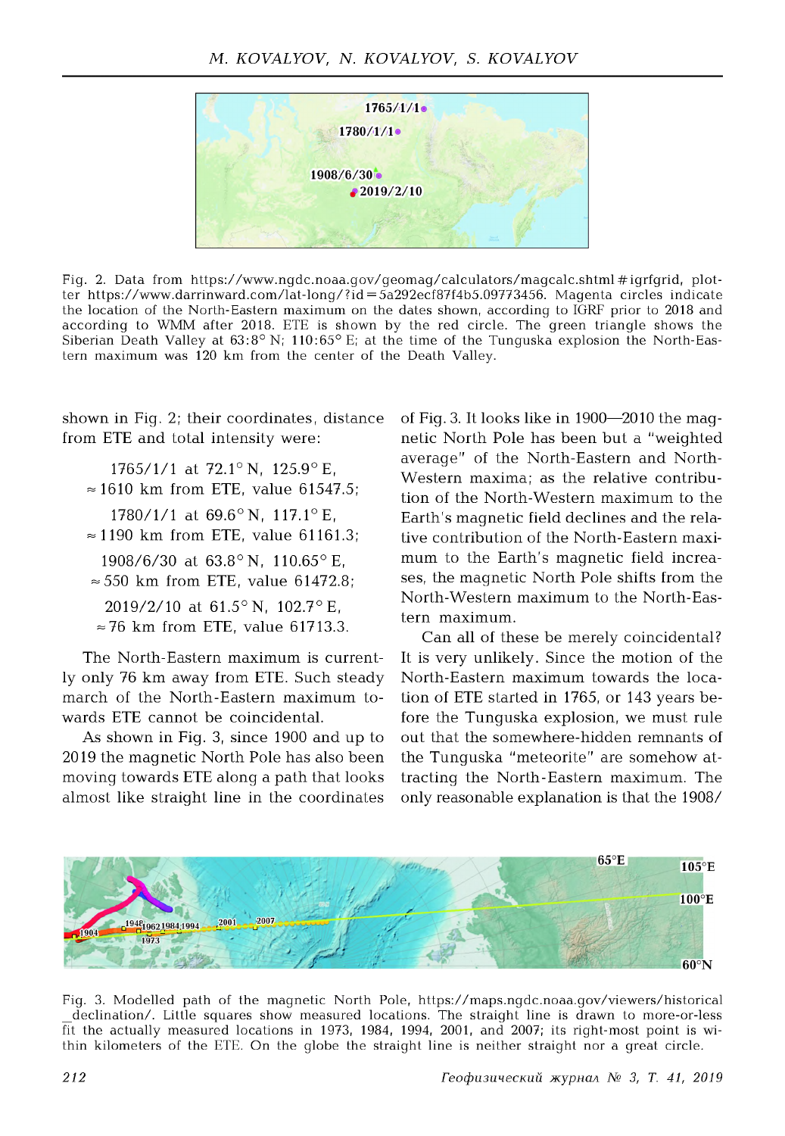

Fig. 2. Data from https://www.ngdc.noaa.gov/geomag/calculators/magcalc.shtml#igrfgrid, plotter https://www.darrinward.com/lat-long/?id=5a292ecf87f4b5.09773456. Magenta circles indicate the location of the North-Eastern maximum on the dates shown, according to IGRF prior to 2018 and according to WMM after 2018. ETE is shown by the red circle. The green triangle shows the Siberian Death Valley at  $63.8^{\circ}$  N; 110:65° E; at the time of the Tunguska explosion the North-Eastern maximum was 120 km from the center of the Death Valley.

shown in Fig. 2; their coordinates, distance from ETE and total intensity were:

1765/1/1 at 72.1° N, 125.9° E,  $\approx 1610$  km from ETE, value 61547.5; 1780/1/1 at  $69.6^{\circ}$  N,  $117.1^{\circ}$  E,  $\approx$  1190 km from ETE, value 61161.3; 1908/6/30 at  $63.8^{\circ}$  N,  $110.65^{\circ}$  E,  $\approx$  550 km from ETE, value 61472.8; 2019/2/10 at  $61.5^{\circ}$  N,  $102.7^{\circ}$  E,  $\approx$  76 km from ETE, value 61713.3.

The North-Eastern maximum is currently only 76 km away from ETE. Such steady march of the North-Eastern maximum towards ETE cannot be coincidental.

As shown in Fig. 3, since 1900 and up to 2019 the magnetic North Pole has also been moving towards ETE along a path that looks almost like straight line in the coordinates of Fig. 3. It looks like in 1900—2010 the magnetic North Pole has been but a "weighted average" of the North-Eastern and North-Western maxima; as the relative contribution of the North-Western maximum to the Earth's magnetic field declines and the relative contribution of the North-Eastern maximum to the Earth's magnetic field increases, the magnetic North Pole shifts from the North-Western maximum to the North-Eastern maximum.

Can all of these be merely coincidental? It is very unlikely. Since the motion of the North-Eastern maximum towards the location of ETE started in 1765, or 143 years before the Tunguska explosion, we must rule out that the somewhere-hidden remnants of the Tunguska "meteorite" are somehow attracting the North-Eastern maximum. The only reasonable explanation is that the 1908/



Fig. 3. Modelled path of the magnetic North Pole, https://maps.ngdc.noaa.gov/viewers/historical \_declination/. Little squares show measured locations. The straight line is drawn to more-or-less fit the actually measured locations in 1973, 1984, 1994, 2001, and 2007; its right-most point is within kilometers of the ETE. On the globe the straight line is neither straight nor a great circle.